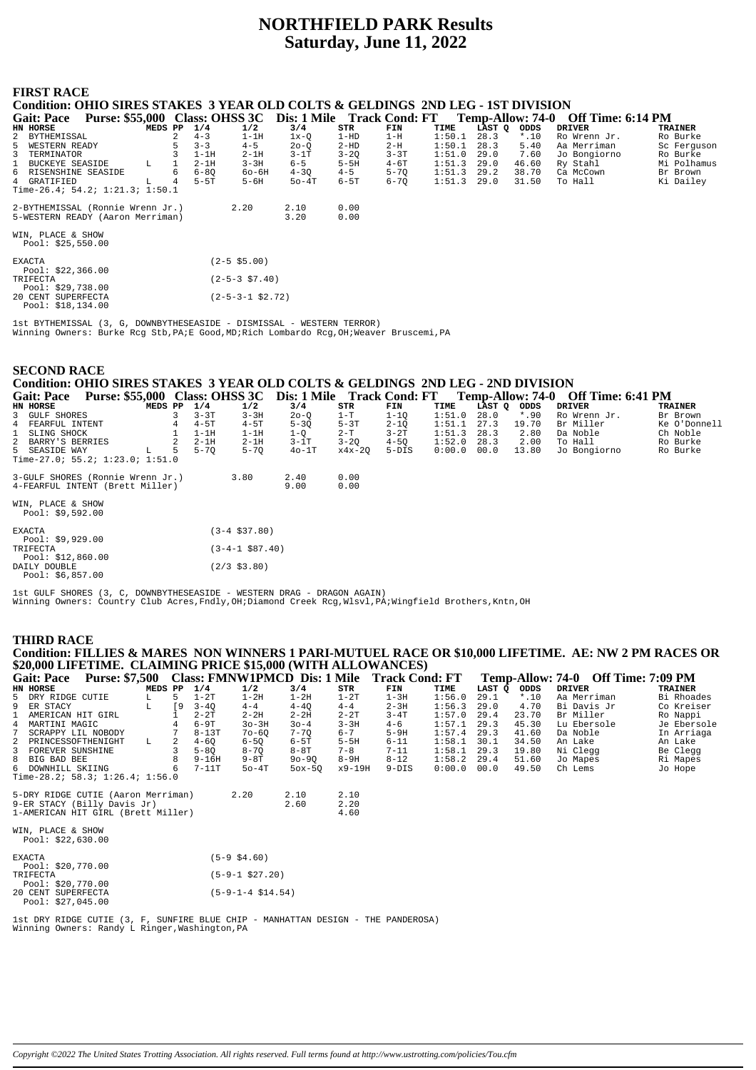## **NORTHFIELD PARK Results Saturday, June 11, 2022**

### **FIRST RACE**

| Purse: \$55,000 Class: OHSS 3C Dis: 1 Mile Track Cond: FT<br>Temp-Allow: 74-0 Off Time: 6:14 PM<br><b>Gait: Pace</b>          |                |
|-------------------------------------------------------------------------------------------------------------------------------|----------------|
| 1/4<br>1/2<br>3/4<br>HN HORSE<br>MEDS PP<br>STR<br>FIN<br>TIME<br>LAST O<br>ODDS<br><b>DRIVER</b>                             | <b>TRAINER</b> |
| 2 BYTHEMISSAL<br>2<br>1:50.1<br>28.3<br>$*$ .10<br>$1-1H$<br>$1-HD$<br>$1-H$<br>$4 - 3$<br>Ro Wrenn Jr.<br>$1x-Q$             | Ro Burke       |
| 5 WESTERN READY<br>1:50.1<br>5<br>$3 - 3$<br>$4 - 5$<br>$2-HD$<br>$2-H$<br>5.40<br>28.3<br>Aa Merriman<br>$20 - 0$            | Sc Ferquson    |
| $3 - 20$<br>$3 - 3T$<br>1:51.0<br>7.60<br>3 TERMINATOR<br>$1-1H$<br>$2-1H$<br>$3-1T$<br>29.0<br>Jo Bongiorno                  | Ro Burke       |
| 1 BUCKEYE SEASIDE<br>$2-1H$<br>$3 - 3H$<br>$6 - 5$<br>1:51.3<br>46.60<br>Ry Stahl<br>$5-5H$<br>29.0<br>L<br>$4-6T$            | Mi Polhamus    |
| $4 - 5$<br>1:51.3<br>$6 - 8Q$<br>6 RISENSHINE SEASIDE<br>$60 - 6H$<br>$4 - 3Q$<br>$5 - 70$<br>29.2<br>38.70<br>6<br>Ca McCown | Br Brown       |
| 1:51.3<br>4 GRATIFIED<br>29.0<br>31.50<br>To Hall<br>$5-5T$<br>$5 - 6H$<br>$50 - 4T$<br>6-5T<br>6-70<br>4<br>L                | Ki Dailey      |
| Time-26.4; 54.2; $1:21.3$ ; $1:50.1$                                                                                          |                |
| 2-BYTHEMISSAL (Ronnie Wrenn Jr.)<br>2.20<br>2.10<br>0.00                                                                      |                |
| 3.20<br>0.00<br>5-WESTERN READY (Aaron Merriman)                                                                              |                |
| WIN, PLACE & SHOW<br>Pool: \$25,550.00                                                                                        |                |
| <b>EXACTA</b><br>$(2 - 5 \ $5.00)$                                                                                            |                |
| Pool: \$22,366.00<br>$(2-5-3 \text{ } $7.40)$<br>TRIFECTA                                                                     |                |
| Pool: \$29,738.00<br>$(2-5-3-1$ \$2.72)<br>20 CENT SUPERFECTA<br>Pool: \$18,134.00                                            |                |

1st BYTHEMISSAL (3, G, DOWNBYTHESEASIDE - DISMISSAL - WESTERN TERROR) Winning Owners: Burke Rcg Stb,PA;E Good,MD;Rich Lombardo Rcg,OH;Weaver Bruscemi,PA

# **SECOND RACE Condition: OHIO SIRES STAKES 3 YEAR OLD COLTS & GELDINGS 2ND LEG - 2ND DIVISION Gait: Pace Purse: \$55,000 Class: OHSS 3C Dis: 1 Mile Track Cond: FT Temp-Allow: 74-0 Off Time: 6:41 PM**<br> **EXECUT SHORES**<br> **EXELUS BIOURE SHORES**<br> **EXELUS BIOUR SHORES**<br> **EXERPUL INTENT**<br> **EXERPLI INTENT**<br> **EXERPLI INTENT** HN HORSE MEDS PP 1/4 1/2 3/4 STR FIN TIME LAST Q ODDS DRIVER TRAINER TRAINER<br>3 GULF SHORES 3 3-3 3 -3 3 -3 2 -0 1 -10 1:51.0 28.0 \*.90 Rowten Jr. Br Brown<br>4 4-5T 5-3Q 5-3T 3-1Q 1:51.1 27.3 9.30 Br Miller Ke O'Donnell<br>1 SLI 2 BARRY'S BERRIES 2 2-1H 2-1H 3-1T 3-2Q 4-5Q 1:52.0 28.3 2.00 To Hall Ro Burke 5 SEASIDE WAY L 5 5-7Q 5-7Q 4o-1T x4x-2Q 5-DIS 0:00.0 00.0 13.80 Jo Bongiorno Ro Burke Time-27.0; 55.2; 1:23.0; 1:51.0 3-GULF SHORES (Ronnie Wrenn Jr.) 3.80 2.40 0.00 4-FEARFUL INTENT (Brett Miller) 9.00 0.00 WIN, PLACE & SHOW Pool: \$9,592.00 EXACTA (3-4 \$37.80) Pool: \$9,929.00 TRIFECTA (3-4-1 \$87.40) Pool: \$12,860.00 DAILY DOUBLE (2/3 \$3.80) Pool: \$6,857.00

1st GULF SHORES (3, C, DOWNBYTHESEASIDE - WESTERN DRAG - DRAGON AGAIN) Winning Owners: Country Club Acres,Fndly,OH;Diamond Creek Rcg,Wlsvl,PA;Wingfield Brothers,Kntn,OH

#### **THIRD RACE**

Pool: \$27,045.00

**Condition: FILLIES & MARES NON WINNERS 1 PARI-MUTUEL RACE OR \$10,000 LIFETIME. AE: NW 2 PM RACES OR \$20,000 LIFETIME. CLAIMING PRICE \$15,000 (WITH ALLOWANCES)**  $T_{\text{error}}$   $\lambda$   $\mu_{\text{error}}$   $\pi$   $\lambda$   $\mu$   $\Omega$   $\Omega$   $\Omega$   $\Omega$   $\Omega$   $\Omega$   $\Omega$ 

| Gail: Pace<br>$P^{\text{U}}(x; \mathfrak{d})$ .,500 |                      |                                      |         |    | - Ciass: FIVIIV W LPIVICD - DIS; T IVIIIE |                   |           |          |          | TLACK COUGE L | $1$ emp-Allow: $74-0$ UII $1$ lime: $7:09$ PM |             |               |                |
|-----------------------------------------------------|----------------------|--------------------------------------|---------|----|-------------------------------------------|-------------------|-----------|----------|----------|---------------|-----------------------------------------------|-------------|---------------|----------------|
|                                                     | HN HORSE             |                                      | MEDS PP |    | 1/4                                       | 1/2               | 3/4       | STR      | FIN      | TIME          | LAST O                                        | <b>ODDS</b> | <b>DRIVER</b> | <b>TRAINER</b> |
|                                                     | 5 DRY RIDGE CUTIE    |                                      | L.      | 5  | $1-2T$                                    | $1-2H$            | $1-2H$    | $1-2T$   | $1-3H$   | 1:56.0        | 29.1                                          | $*$ .10     | Aa Merriman   | Bi Rhoades     |
|                                                     | 9 ER STACY           |                                      | L       | [9 | $3 - 40$                                  | $4 - 4$           | $4 - 40$  | $4 - 4$  | $2 - 3H$ | 1:56.3        | 29.0                                          | 4.70        | Bi Davis Jr   | Co Kreiser     |
| 1                                                   | AMERICAN HIT GIRL    |                                      |         |    | $2 - 2T$                                  | $2 - 2H$          | $2 - 2H$  | $2 - 2T$ | $3-4T$   | 1:57.0        | 29.4                                          | 23.70       | Br Miller     | Ro Nappi       |
| $4^{\circ}$                                         | MARTINI MAGIC        |                                      |         |    | $6-9T$                                    | $3o-3H$           | $30 - 4$  | $3 - 3H$ | $4 - 6$  | 1:57.1        | 29.3                                          | 45.30       | Lu Ebersole   | Je Ebersole    |
|                                                     | SCRAPPY LIL NOBODY   |                                      |         |    | $8-13T$                                   | 70-60             | $7 - 70$  | $6 - 7$  | $5-9H$   | 1:57.4        | 29.3                                          | 41.60       | Da Noble      | In Arriaga     |
|                                                     | 2 PRINCESSOFTHENIGHT |                                      | L       |    | $4 - 60$                                  | $6 - 50$          | $6-5T$    | $5-5H$   | $6 - 11$ | 1:58.1        | 30.1                                          | 34.50       | An Lake       | An Lake        |
|                                                     | 3 FOREVER SUNSHINE   |                                      |         |    | $5 - 80$                                  | $8 - 70$          | $8-8T$    | $7 - 8$  | $7 - 11$ | 1:58.1        | 29.3                                          | 19.80       | Ni Clegg      | Be Clegg       |
|                                                     | 8 BIG BAD BEE        |                                      |         | 8  | $9 - 16H$                                 | $9-8T$            | $90 - 90$ | $8-9H$   | $8 - 12$ | 1:58.2        | 29.4                                          | 51.60       | Jo Mapes      | Ri Mapes       |
|                                                     | 6 DOWNHILL SKIING    |                                      |         | 6  | $7-11T$                                   | $50-4T$           | $50x-50$  | x9-19H   | $9-DIS$  | 0:00.0        | 00.0                                          | 49.50       | Ch Lems       | Jo Hope        |
|                                                     |                      | Time-28.2; 58.3; $1:26.4$ ; $1:56.0$ |         |    |                                           |                   |           |          |          |               |                                               |             |               |                |
|                                                     |                      |                                      |         |    |                                           |                   |           |          |          |               |                                               |             |               |                |
|                                                     |                      | 5-DRY RIDGE CUTIE (Aaron Merriman)   |         |    |                                           | 2.20              | 2.10      | 2.10     |          |               |                                               |             |               |                |
|                                                     |                      | 9-ER STACY (Billy Davis Jr)          |         |    |                                           |                   | 2.60      | 2.20     |          |               |                                               |             |               |                |
|                                                     |                      | 1-AMERICAN HIT GIRL (Brett Miller)   |         |    |                                           |                   |           | 4.60     |          |               |                                               |             |               |                |
|                                                     |                      |                                      |         |    |                                           |                   |           |          |          |               |                                               |             |               |                |
|                                                     | WIN, PLACE & SHOW    |                                      |         |    |                                           |                   |           |          |          |               |                                               |             |               |                |
|                                                     |                      |                                      |         |    |                                           |                   |           |          |          |               |                                               |             |               |                |
|                                                     | Pool: $$22,630.00$   |                                      |         |    |                                           |                   |           |          |          |               |                                               |             |               |                |
|                                                     |                      |                                      |         |    |                                           |                   |           |          |          |               |                                               |             |               |                |
|                                                     | EXACTA               |                                      |         |    |                                           | $(5-9$ \$4.60)    |           |          |          |               |                                               |             |               |                |
|                                                     | Pool: \$20,770.00    |                                      |         |    |                                           |                   |           |          |          |               |                                               |             |               |                |
|                                                     | TRIFECTA             |                                      |         |    |                                           | $(5-9-1$ \$27.20) |           |          |          |               |                                               |             |               |                |
|                                                     | Pool: $$20,770.00$   |                                      |         |    |                                           |                   |           |          |          |               |                                               |             |               |                |
|                                                     | 20 CENT SUPERFECTA   |                                      |         |    | $(5-9-1-4 \text{ }514 \text{ }54)$        |                   |           |          |          |               |                                               |             |               |                |

1st DRY RIDGE CUTIE (3, F, SUNFIRE BLUE CHIP - MANHATTAN DESIGN - THE PANDEROSA) Winning Owners: Randy L Ringer,Washington,PA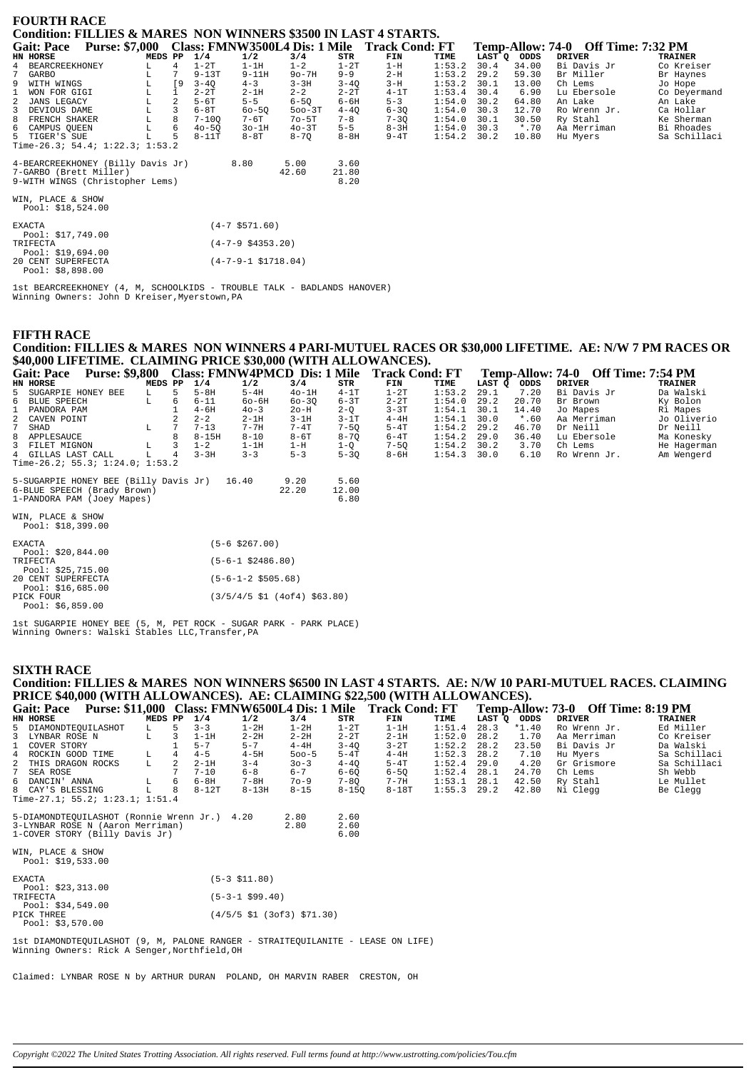| <b>FOURTH RACE</b>                                                     |         |              |           |                              |            |            |          |        |        |         |                                    |                |
|------------------------------------------------------------------------|---------|--------------|-----------|------------------------------|------------|------------|----------|--------|--------|---------|------------------------------------|----------------|
| Condition: FILLIES & MARES NON WINNERS \$3500 IN LAST 4 STARTS.        |         |              |           |                              |            |            |          |        |        |         |                                    |                |
| Gait: Pace Purse: \$7,000 Class: FMNW3500L4 Dis: 1 Mile Track Cond: FT |         |              |           |                              |            |            |          |        |        |         | Temp-Allow: 74-0 Off Time: 7:32 PM |                |
| HN HORSE                                                               | MEDS PP |              | 1/4       | 1/2                          | 3/4        | <b>STR</b> | FIN      | TIME   | LAST O | ODDS    | <b>DRIVER</b>                      | <b>TRAINER</b> |
| 4 BEARCREEKHONEY                                                       | L.      | 4            | $1-2T$    | $1-1H$                       | $1 - 2$    | $1-2T$     | $1-H$    | 1:53.2 | 30.4   | 34.00   | Bi Davis Jr                        | Co Kreiser     |
| GARBO                                                                  |         | 7            | $9-13T$   | $9 - 11H$                    | $90 - 7H$  | $9 - 9$    | $2-H$    | 1:53.2 | 29.2   | 59.30   | Br Miller                          | Br Haynes      |
| 9<br>WITH WINGS                                                        | L       | [9           | $3 - 4Q$  | $4 - 3$                      | $3 - 3H$   | $3 - 40$   | $3-H$    | 1:53.2 | 30.1   | 13.00   | Ch Lems                            | Jo Hope        |
| WON FOR GIGI                                                           |         | $\mathbf{1}$ | $2 - 2T$  | $2-1H$                       | $2 - 2$    | $2 - 2T$   | $4-1T$   | 1:53.4 | 30.4   | 6.90    | Lu Ebersole                        | Co Deyermand   |
| 2<br>JANS LEGACY                                                       | L       | 2            | $5-6T$    | $5 - 5$                      | $6-5Q$     | $6 - 6H$   | $5 - 3$  | 1:54.0 | 30.2   | 64.80   | An Lake                            | An Lake        |
| 3<br>DEVIOUS DAME                                                      |         | 3            | $6 - 8T$  | $60 - 5Q$                    | $500 - 3T$ | $4 - 4Q$   | $6 - 3Q$ | 1:54.0 | 30.3   | 12.70   | Ro Wrenn Jr.                       | Ca Hollar      |
| FRENCH SHAKER<br>8                                                     | L       | 8            | $7 - 100$ | 7-6T                         | $70 - 5T$  | $7 - 8$    | $7 - 3Q$ | 1:54.0 | 30.1   | 30.50   | Ry Stahl                           | Ke Sherman     |
| 6 CAMPUS QUEEN                                                         | L       | 6            | $40 - 50$ | $30-1H$                      | $40-3T$    | $5 - 5$    | $8-3H$   | 1:54.0 | 30.3   | $*$ .70 | Aa Merriman                        | Bi Rhoades     |
| 5 TIGER'S SUE                                                          |         |              | $8-11T$   | $8-8T$                       | $8 - 70$   | $8-8H$     | $9-4T$   | 1:54.2 | 30.2   | 10.80   | Hu Myers                           | Sa Schillaci   |
| Time-26.3; 54.4; $1:22.3$ ; $1:53.2$                                   |         |              |           |                              |            |            |          |        |        |         |                                    |                |
| 4-BEARCREEKHONEY (Billy Davis Jr)                                      |         |              |           | 8.80                         | 5.00       | 3.60       |          |        |        |         |                                    |                |
| 7-GARBO (Brett Miller)                                                 |         |              |           |                              | 42.60      | 21.80      |          |        |        |         |                                    |                |
| 9-WITH WINGS (Christopher Lems)                                        |         |              |           |                              |            | 8.20       |          |        |        |         |                                    |                |
| WIN, PLACE & SHOW<br>Pool: \$18,524.00                                 |         |              |           |                              |            |            |          |        |        |         |                                    |                |
| <b>EXACTA</b><br>Pool: \$17,749.00                                     |         |              |           | $(4-7$ \$571.60)             |            |            |          |        |        |         |                                    |                |
| TRIFECTA<br>Pool: $$19,694.00$                                         |         |              |           | $(4 - 7 - 9 \ $4353.20)$     |            |            |          |        |        |         |                                    |                |
| 20 CENT SUPERFECTA<br>$P_{00}$ : $\&$ 898 00                           |         |              |           | $(4 - 7 - 9 - 1 \ $1718.04)$ |            |            |          |        |        |         |                                    |                |

1st BEARCREEKHONEY (4, M, SCHOOLKIDS - TROUBLE TALK - BADLANDS HANOVER)<br>Winning Owners: John D Kreiser, Myerstown, PA

#### **FIFTH RACE**

## Condition: FILLIES & MARES NON WINNERS 4 PARI-MUTUEL RACES OR \$30,000 LIFETIME. AE: N/W 7 PM RACES OR \$40,000 LIFETIME. CLAIMING PRICE \$30,000 (WITH ALLOWANCES).

| <b>Gait: Pace</b><br><b>Purse: \$9,800</b> |         |   | Class: FMNW4PMCD Dis: 1 Mile |          |           |          | <b>Track Cond: FT</b> |        |        | <b>Temp-Allow: 74-0</b> | <b>Off Time: 7:54 PM</b> |                |
|--------------------------------------------|---------|---|------------------------------|----------|-----------|----------|-----------------------|--------|--------|-------------------------|--------------------------|----------------|
| HN HORSE                                   | MEDS PP |   | 1/4                          | 1/2      | 3/4       | STR      | FIN                   | TIME   | LAST O | ODDS                    | <b>DRIVER</b>            | <b>TRAINER</b> |
| 5 SUGARPIE HONEY BEE                       |         |   | $5-8H$                       | $5-4H$   | $40-1H$   | $4 - 1T$ | $1-2T$                | 1:53.2 | 29.1   | 7.20                    | Bi Davis Jr              | Da Walski      |
| 6 BLUE SPEECH                              | ш       | 6 | $6 - 11$                     | $60-6H$  | $60 - 30$ | $6 - 3T$ | $2 - 2T$              | 1:54.0 | 29.2   | 20.70                   | Br Brown                 | Ky Bolon       |
| PANDORA PAM                                |         |   | $4 - 6H$                     | $40 - 3$ | $2o-H$    | $2 - 0$  | $3 - 3T$              | 1:54.1 | 30.1   | 14.40                   | Jo Mapes                 | Ri Mapes       |
| 2 CAVEN POINT                              |         |   | $2 - 2$                      | $2 - 1H$ | $3-1H$    | $3 - 1T$ | $4-4H$                | 1:54.1 | 30.0   | $*.60$                  | Aa Merriman              | Jo Oliverio    |
| 7 SHAD                                     | ш       |   | $7 - 13$                     | $7 - 7H$ | $7-4T$    | $7 - 50$ | $5-4T$                | 1:54.2 | 29.2   | 46.70                   | Dr Neill                 | Dr Neill       |
| 8 APPLESAUCE                               |         | 8 | $8 - 15H$                    | $8 - 10$ | $8 - 6T$  | $8 - 70$ | 6-4T                  | 1:54.2 | 29.0   | 36.40                   | Lu Ebersole              | Ma Konesky     |
| 3 FILET MIGNON                             |         |   | $1 - 2$                      | $1 - 1H$ | 1 – H     | $1 - 0$  | $7 - 50$              | 1:54.2 | 30.2   | 3.70                    | Ch Lems                  | He Hagerman    |
| 4 GILLAS LAST CALL                         |         | 4 | $3 - 3H$                     | $3 - 3$  | $5 - 3$   | $5 - 30$ | $8 - 6H$              | 1:54.3 | 30.0   | 6.10                    | Ro Wrenn Jr.             | Am Wengerd     |
| Time-26.2; 55.3; 1:24.0; 1:53.2            |         |   |                              |          |           |          |                       |        |        |                         |                          |                |

| 5-SUGARPIE HONEY BEE (Billy Davis Jr) |  | 16.40 | 9.20  | 5.60  |
|---------------------------------------|--|-------|-------|-------|
| 6-BLUE SPEECH (Brady Brown)           |  |       | 22.20 | 12.00 |
| 1-PANDORA PAM (Joev Mapes)            |  |       |       | 6.80  |

| WIN. PLACE & SHOW |                   |  |  |
|-------------------|-------------------|--|--|
|                   | Pool: \$18,399.00 |  |  |

| <b>EXACTA</b>      | $(5-6 \ $267.00)$                                                  |
|--------------------|--------------------------------------------------------------------|
| Pool: $$20,844.00$ |                                                                    |
| TRIFECTA           | $(5-6-1 \ $2486.80)$                                               |
| Pool: $$25,715.00$ |                                                                    |
| 20 CENT SUPERFECTA | $(5-6-1-2 \ $505.68)$                                              |
| Pool: $$16,685.00$ |                                                                    |
| PICK FOUR          | $(3/5/4/5 \text{ } $1 \text{ } (4 \text{ of } 4) \text{ } $63.80)$ |
| Pool: $$6,859.00$  |                                                                    |

1st SUGARPIE HONEY BEE (5, M, PET ROCK - SUGAR PARK - PARK PLACE)<br>Winning Owners: Walski Stables LLC, Transfer, PA

#### **SIXTH RACE**

## Condition: FILLIES & MARES NON WINNERS \$6500 IN LAST 4 STARTS. AE: N/W 10 PARI-MUTUEL RACES. CLAIMING PRICE \$40,000 (WITH ALLOWANCES). AE: CLAIMING \$22,500 (WITH ALLOWANCES).

| <b>Gait: Pace</b>                            | <b>Purse: \$11,000</b> |         |   |           |           | Class: FMNW6500L4 Dis: 1 Mile |           | <b>Track Cond: FT</b> |               |      |             | Temp-Allow: 73-0 Off Time: 8:19 PM |                |
|----------------------------------------------|------------------------|---------|---|-----------|-----------|-------------------------------|-----------|-----------------------|---------------|------|-------------|------------------------------------|----------------|
| HN HORSE                                     |                        | MEDS PP |   | 1/4       | 1/2       | 3/4                           | STR       | FIN                   | TIME          |      | LAST O ODDS | DRIVER                             | <b>TRAINER</b> |
| 5 DIAMONDTEOUILASHOT                         |                        | L.      |   | $3 - 3$   | $1-2H$    | $1-2H$                        | $1-2T$    | $1-1H$                | 1:51.4        | 28.3 | $*1.40$     | Ro Wrenn Jr.                       | Ed Miller      |
| 3 LYNBAR ROSE N                              |                        | L.      |   | $1-1H$    | $2 - 2H$  | $2 - 2H$                      | $2 - 2T$  | $2-1H$                | 1:52.0        | 28.2 | 1.70        | Aa Merriman                        | Co Kreiser     |
| 1 COVER STORY                                |                        |         |   | $5 - 7$   | $5 - 7$   | $4-4H$                        | $3 - 40$  | $3-2T$                | 1:52.2        | 28.2 | 23.50       | Bi Davis Jr                        | Da Walski      |
| 4 ROCKIN GOOD TIME                           |                        | т.      | 4 | $4 - 5$   | $4-5H$    | $500 - 5$                     | $5-4T$    | $4-4H$                | 1:52.3        | 28.2 | 7.10        | Hu Mvers                           | Sa Schillaci   |
| 2 THIS DRAGON ROCKS                          |                        | L       | 2 | $2-1H$    | $3 - 4$   | $30 - 3$                      | $4 - 40$  | $5-4T$                | 1:52.4        | 29.0 | 4.20        | Gr Grismore                        | Sa Schillaci   |
| 7 SEA ROSE                                   |                        |         |   | $7 - 10$  | $6 - 8$   | $6 - 7$                       | $6 - 60$  | $6 - 50$              | 1:52.4        | 28.1 | 24.70       | Ch Lems                            | Sh Webb        |
| 6 DANCIN' ANNA                               |                        | L       | 6 | 6-8H      | $7 - 8H$  | $70 - 9$                      | $7 - 80$  | 7-7H                  | 1:53.1        | 28.1 | 42.50       | Ry Stahl                           | Le Mullet      |
| 8 CAY'S BLESSING                             |                        | т.      | 8 | $8 - 12T$ | $8 - 13H$ | $8 - 15$                      | $8 - 150$ | $8-18T$               | $1:55.3$ 29.2 |      | 42.80       | Ni Clegg                           | Be Clegg       |
| Time-27.1; $55.2$ ; $1:23.1$ ; $1:51.4$      |                        |         |   |           |           |                               |           |                       |               |      |             |                                    |                |
| 5-DIAMONDTEQUILASHOT (Ronnie Wrenn Jr.) 4.20 |                        |         |   |           |           | 2.80                          | 2.60      |                       |               |      |             |                                    |                |
| 3-LYNBAR ROSE N (Aaron Merriman)             |                        |         |   |           |           | 2.80                          | 2.60      |                       |               |      |             |                                    |                |
| 1-COVER STORY (Billy Davis Jr)               |                        |         |   |           |           |                               | 6.00      |                       |               |      |             |                                    |                |

3-LYNBAR ROSE N (Aaron Merriman)<br>1-COVER STORY (Billy Davis Jr)

# WIN, PLACE & SHOW<br>Pool: \$19,533.00

| <b>EXACTA</b>                      | $(5-3 \; $11.80)$                                                |
|------------------------------------|------------------------------------------------------------------|
| Pool: \$23,313.00<br>TR T F F.C.TA | $(5-3-1$ \$99.40)                                                |
| Pool: \$34,549.00<br>PICK THREE    | $(4/5/5 \text{ } 51 \text{ } (3 \text{ of } 3) \text{ } 571.30)$ |
| Pool: $$3.570.00$                  |                                                                  |

1st DIAMONDTEQUILASHOT (9, M, PALONE RANGER - STRAITEQUILANITE - LEASE ON LIFE)<br>Winning Owners: Rick A Senger, Northfield, OH

Claimed: LYNBAR ROSE N by ARTHUR DURAN POLAND, OH MARVIN RABER CRESTON, OH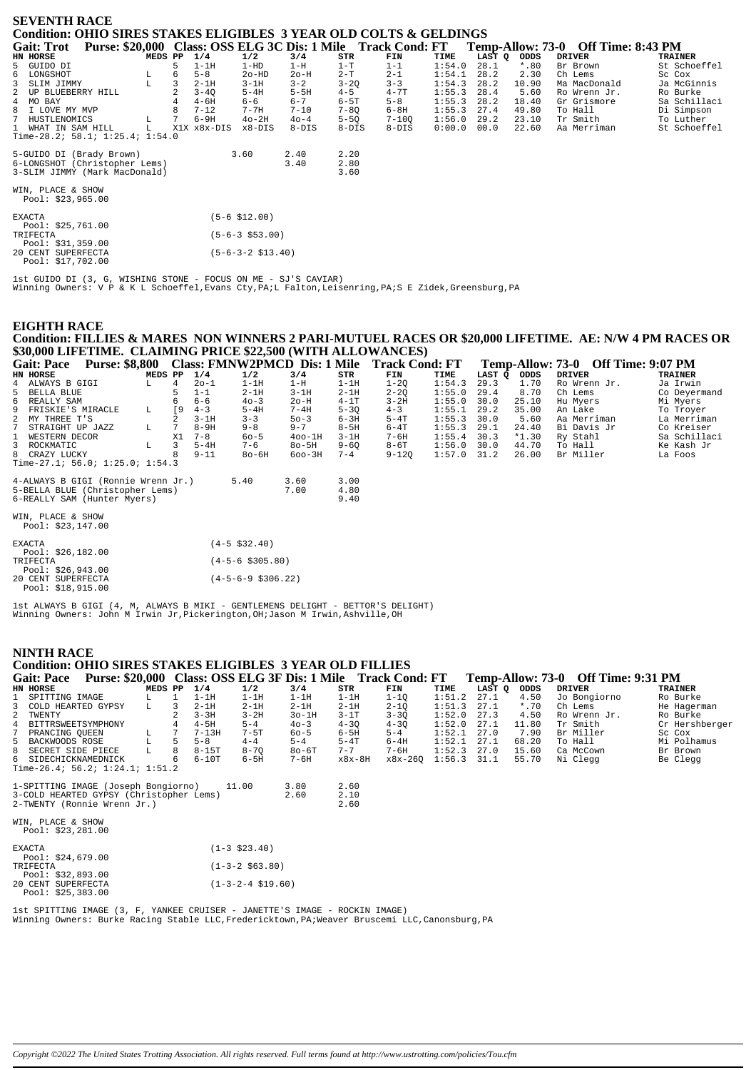| <b>SEVENTH RACE</b>                                                               |         |   |                      |                   |          |            |           |        |        |         |                                    |                |  |
|-----------------------------------------------------------------------------------|---------|---|----------------------|-------------------|----------|------------|-----------|--------|--------|---------|------------------------------------|----------------|--|
| <b>Condition: OHIO SIRES STAKES ELIGIBLES 3 YEAR OLD COLTS &amp; GELDINGS</b>     |         |   |                      |                   |          |            |           |        |        |         |                                    |                |  |
| Purse: \$20,000 Class: OSS ELG 3C Dis: 1 Mile Track Cond: FT<br><b>Gait: Trot</b> |         |   |                      |                   |          |            |           |        |        |         | Temp-Allow: 73-0 Off Time: 8:43 PM |                |  |
| HN HORSE                                                                          | MEDS PP |   | 1/4                  | 1/2               | 3/4      | <b>STR</b> | FIN       | TIME   | LAST O | ODDS    | <b>DRIVER</b>                      | <b>TRAINER</b> |  |
| 5 GUIDO DI                                                                        |         | 5 | $1-1H$               | $1-HD$            | $1-H$    | $1-T$      | $1 - 1$   | 1:54.0 | 28.1   | $*$ .80 | Br Brown                           | St Schoeffel   |  |
| LONGSHOT<br>6                                                                     | L       | 6 | $5 - 8$              | $2o-HD$           | $2o-H$   | $2-T$      | $2 - 1$   | 1:54.1 | 28.2   | 2.30    | Ch Lems                            | Sc Cox         |  |
| SLIM JIMMY                                                                        | L       |   | $2-1H$               | $3-1H$            | $3 - 2$  | $3 - 20$   | $3 - 3$   | 1:54.3 | 28.2   | 10.90   | Ma MacDonald                       | Ja McGinnis    |  |
| $\overline{2}$<br>UP BLUEBERRY HILL                                               |         |   | $3 - 4Q$             | $5 - 4H$          | $5-5H$   | $4 - 5$    | $4 - 7T$  | 1:55.3 | 28.4   | 5.60    | Ro Wrenn Jr.                       | Ro Burke       |  |
| 4 MO BAY                                                                          |         |   | $4 - 6H$             | $6 - 6$           | $6 - 7$  | $6 - 5T$   | $5 - 8$   | 1:55.3 | 28.2   | 18.40   | Gr Grismore                        | Sa Schillaci   |  |
| 8<br>I LOVE MY MVP                                                                |         |   | $7 - 12$             | $7 - 7H$          | $7 - 10$ | $7 - 8Q$   | $6 - 8H$  | 1:55.3 | 27.4   | 49.80   | To Hall                            | Di Simpson     |  |
| HUSTLENOMICS                                                                      | L       | 7 | $6-9H$               | $40-2H$           | $40 - 4$ | $5 - 5Q$   | $7 - 100$ | 1:56.0 | 29.2   | 23.10   | Tr Smith                           | To Luther      |  |
| WHAT IN SAM HILL<br>$\mathbf{1}$                                                  | L.      |   | X1X x8x-DIS          | $x8-DIS$          | $8-DIS$  | $8-DIS$    | $8-DIS$   | 0:00.0 | 00.0   | 22.60   | Aa Merriman                        | St Schoeffel   |  |
| Time-28.2; $58.1; 1:25.4; 1:54.0$                                                 |         |   |                      |                   |          |            |           |        |        |         |                                    |                |  |
| 5-GUIDO DI (Brady Brown)                                                          |         |   |                      | 3.60              | 2.40     | 2.20       |           |        |        |         |                                    |                |  |
| 6-LONGSHOT (Christopher Lems)                                                     |         |   |                      |                   | 3.40     | 2.80       |           |        |        |         |                                    |                |  |
| 3-SLIM JIMMY (Mark MacDonald)                                                     |         |   |                      |                   |          | 3.60       |           |        |        |         |                                    |                |  |
|                                                                                   |         |   |                      |                   |          |            |           |        |        |         |                                    |                |  |
| WIN, PLACE & SHOW                                                                 |         |   |                      |                   |          |            |           |        |        |         |                                    |                |  |
| Pool: \$23,965.00                                                                 |         |   |                      |                   |          |            |           |        |        |         |                                    |                |  |
|                                                                                   |         |   |                      |                   |          |            |           |        |        |         |                                    |                |  |
| <b>EXACTA</b>                                                                     |         |   |                      | $(5-6 \; $12.00)$ |          |            |           |        |        |         |                                    |                |  |
| Pool: $$25,761.00$                                                                |         |   |                      |                   |          |            |           |        |        |         |                                    |                |  |
| TRIFECTA                                                                          |         |   |                      | $(5-6-3$ \$53.00) |          |            |           |        |        |         |                                    |                |  |
| Pool: $$31,359.00$<br>20 CENT SUPERFECTA                                          |         |   | $(5-6-3-2 \ $13.40)$ |                   |          |            |           |        |        |         |                                    |                |  |
| Pool: \$17,702.00                                                                 |         |   |                      |                   |          |            |           |        |        |         |                                    |                |  |
|                                                                                   |         |   |                      |                   |          |            |           |        |        |         |                                    |                |  |

1st GUIDO DI (3, G, WISHING STONE - FOCUS ON ME - SJ'S CAVIAR) Winning Owners: V P & K L Schoeffel,Evans Cty,PA;L Falton,Leisenring,PA;S E Zidek,Greensburg,PA

## **EIGHTH RACE Condition: FILLIES & MARES NON WINNERS 2 PARI-MUTUEL RACES OR \$20,000 LIFETIME. AE: N/W 4 PM RACES OR \$30,000 LIFETIME. CLAIMING PRICE \$22,500 (WITH ALLOWANCES)**

|              | <b>Gait: Pace</b>   | <b>Purse: \$8,800</b>              |         |           |          | <b>Class: FMNW2PMCD Dis: 1 Mile</b> |            |          | <b>Track Cond: FT</b> |        |        |         | Temp-Allow: 73-0 Off Time: 9:07 PM |                |
|--------------|---------------------|------------------------------------|---------|-----------|----------|-------------------------------------|------------|----------|-----------------------|--------|--------|---------|------------------------------------|----------------|
|              | HN HORSE            |                                    | MEDS PP |           | 1/4      | 1/2                                 | 3/4        | STR      | FIN                   | TIME   | LAST Q | ODDS    | <b>DRIVER</b>                      | <b>TRAINER</b> |
|              | 4 ALWAYS B GIGI     |                                    | L.      | 4         | $20 - 1$ | $1-1H$                              | $1-H$      | $1-1H$   | $1 - 20$              | 1:54.3 | 29.3   | 1.70    | Ro Wrenn Jr.                       | Ja Irwin       |
| 5            | BELLA BLUE          |                                    |         |           | $1 - 1$  | $2-1H$                              | $3-1H$     | $2-1H$   | $2 - 20$              | 1:55.0 | 29.4   | 8.70    | Ch Lems                            | Co Deyermand   |
|              | 6 REALLY SAM        |                                    |         | 6         | $6 - 6$  | $40 - 3$                            | $2o-H$     | $4-1T$   | $3 - 2H$              | 1:55.0 | 30.0   | 25.10   | Hu Myers                           | Mi Myers       |
|              | 9 FRISKIE'S MIRACLE |                                    | L       | <b>19</b> | $4 - 3$  | $5 - 4H$                            | $7 - 4H$   | $5 - 30$ | $4 - 3$               | 1:55.1 | 29.2   | 35.00   | An Lake                            | To Troyer      |
|              | 2 MY THREE T'S      |                                    |         |           | $3-1H$   | $3 - 3$                             | $50 - 3$   | $6 - 3H$ | $5-4T$                | 1:55.3 | 30.0   | 5.60    | Aa Merriman                        | La Merriman    |
| 7            | STRAIGHT UP JAZZ    |                                    | L.      |           | $8-9H$   | $9 - 8$                             | $9 - 7$    | $8-5H$   | $6 - 4T$              | 1:55.3 | 29.1   | 24.40   | Bi Davis Jr                        | Co Kreiser     |
| $\mathbf{1}$ | WESTERN DECOR       |                                    |         | X1        | $7 - 8$  | $60 - 5$                            | $400-1H$   | $3-1H$   | $7 - 6H$              | 1:55.4 | 30.3   | $*1.30$ | Ry Stahl                           | Sa Schillaci   |
|              | 3 ROCKMATIC         |                                    | L       | 3         | $5-4H$   | $7 - 6$                             | $8o-5H$    | $9 - 60$ | $8-6T$                | 1:56.0 | 30.0   | 44.70   | To Hall                            | Ke Kash Jr     |
|              | 8 CRAZY LUCKY       |                                    |         | 8         | $9 - 11$ | $80-6H$                             | $600 - 3H$ | $7 - 4$  | $9 - 120$             | 1:57.0 | 31.2   | 26.00   | Br Miller                          | La Foos        |
|              |                     | Time-27.1; 56.0; 1:25.0; 1:54.3    |         |           |          |                                     |            |          |                       |        |        |         |                                    |                |
|              |                     | 4-ALWAYS B GIGI (Ronnie Wrenn Jr.) |         |           |          | 5.40                                | 3.60       | 3.00     |                       |        |        |         |                                    |                |
|              |                     | 5-BELLA BLUE (Christopher Lems)    |         |           |          |                                     | 7.00       | 4.80     |                       |        |        |         |                                    |                |
|              |                     | 6-REALLY SAM (Hunter Myers)        |         |           |          |                                     |            | 9.40     |                       |        |        |         |                                    |                |
|              |                     |                                    |         |           |          |                                     |            |          |                       |        |        |         |                                    |                |
|              | WIN, PLACE & SHOW   |                                    |         |           |          |                                     |            |          |                       |        |        |         |                                    |                |
|              | Pool: $$23,147.00$  |                                    |         |           |          |                                     |            |          |                       |        |        |         |                                    |                |
|              | <b>EXACTA</b>       |                                    |         |           |          | $(4-5$ \$32.40)                     |            |          |                       |        |        |         |                                    |                |
|              | Pool: \$26,182.00   |                                    |         |           |          |                                     |            |          |                       |        |        |         |                                    |                |
|              | TRIFECTA            |                                    |         |           |          | $(4 - 5 - 6 \ $305.80)$             |            |          |                       |        |        |         |                                    |                |
|              |                     |                                    |         |           |          |                                     |            |          |                       |        |        |         |                                    |                |

Pool: \$26,943.00 20 CENT SUPERFECTA (4-5-6-9 \$306.22) Pool: \$18,915.00

1st ALWAYS B GIGI (4, M, ALWAYS B MIKI - GENTLEMENS DELIGHT - BETTOR'S DELIGHT) Winning Owners: John M Irwin Jr,Pickerington,OH;Jason M Irwin,Ashville,OH

## **NINTH RACE**

## **Condition: OHIO SIRES STAKES ELIGIBLES 3 YEAR OLD FILLIES**

| <b>Gait: Pace</b>                                                                                             | Purse: \$20,000 Class: OSS ELG 3F Dis: 1 Mile Track Cond: FT |         |    |           |                         |              |                      |          |        |        |         | Temp-Allow: 73-0 Off Time: 9:31 PM |                |
|---------------------------------------------------------------------------------------------------------------|--------------------------------------------------------------|---------|----|-----------|-------------------------|--------------|----------------------|----------|--------|--------|---------|------------------------------------|----------------|
| HN HORSE                                                                                                      |                                                              | MEDS PP |    | 1/4       | 1/2                     | 3/4          | STR                  | FIN      | TIME   | LAST Q | ODDS    | <b>DRIVER</b>                      | <b>TRAINER</b> |
| SPITTING IMAGE                                                                                                |                                                              |         |    | $1-1H$    | $1-1H$                  | $1-1H$       | $1-1H$               | $1 - 10$ | 1:51.2 | 27.1   | 4.50    | Jo Bongiorno                       | Ro Burke       |
| COLD HEARTED GYPSY                                                                                            |                                                              | L       |    | $2 - 1H$  | $2 - 1H$                | $2-1H$       | $2-1H$               | $2 - 10$ | 1:51.3 | 27.1   | $*$ .70 | Ch Lems                            | He Hagerman    |
| 2 TWENTY                                                                                                      |                                                              |         |    | $3 - 3H$  | $3 - 2H$                | $3o-1H$      | $3-1T$               | $3 - 30$ | 1:52.0 | 27.3   | 4.50    | Ro Wrenn Jr.                       | Ro Burke       |
| 4<br>BITTRSWEETSYMPHONY                                                                                       |                                                              |         |    | $4-5H$    | $5 - 4$                 | $40 - 3$     | $4 - 30$             | $4 - 3Q$ | 1:52.0 | 27.1   | 11.80   | Tr Smith                           | Cr Hershberger |
| 7<br>PRANCING OUEEN                                                                                           |                                                              | L       |    | $7 - 13H$ | $7-5T$                  | $60 - 5$     | $6-5H$               | $5 - 4$  | 1:52.1 | 27.0   | 7.90    | Br Miller                          | Sc Cox         |
| 5 BACKWOODS ROSE                                                                                              |                                                              | L       | 5. | $5 - 8$   | $4 - 4$                 | $5 - 4$      | $5-4T$               | $6-4H$   | 1:52.1 | 27.1   | 68.20   | To Hall                            | Mi Polhamus    |
| 8<br>SECRET SIDE PIECE                                                                                        |                                                              | T.      |    | $8-15T$   | $8 - 70$                | $80-6T$      | $7 - 7$              | 7-6H     | 1:52.3 | 27.0   | 15.60   | Ca McCown                          | Br Brown       |
| 6 SIDECHICKNAMEDNICK                                                                                          |                                                              |         |    | $6-10T$   | $6-5H$                  | $7 - 6H$     | $x8x-8H$             | x8x-260  | 1:56.3 | 31.1   | 55.70   | Ni Clegg                           | Be Clegg       |
| Time-26.4; 56.2; $1:24.1$ ; $1:51.2$                                                                          |                                                              |         |    |           |                         |              |                      |          |        |        |         |                                    |                |
| 1-SPITTING IMAGE (Joseph Bongiorno)<br>3-COLD HEARTED GYPSY (Christopher Lems)<br>2-TWENTY (Ronnie Wrenn Jr.) |                                                              |         |    |           | 11.00                   | 3.80<br>2.60 | 2.60<br>2.10<br>2.60 |          |        |        |         |                                    |                |
| WIN, PLACE & SHOW<br>Pool: $$23,281.00$                                                                       |                                                              |         |    |           |                         |              |                      |          |        |        |         |                                    |                |
| <b>EXACTA</b><br>Pool: $$24,679.00$                                                                           |                                                              |         |    |           | $(1-3 \; $23.40)$       |              |                      |          |        |        |         |                                    |                |
| TRIFECTA<br>Pool: $$32,893.00$                                                                                |                                                              |         |    |           | $(1-3-2 \; $63.80)$     |              |                      |          |        |        |         |                                    |                |
| גיחים ההתחוזים יחוזהים מפ                                                                                     |                                                              |         |    |           | (1, 2, 3, 4, 6, 10, 60) |              |                      |          |        |        |         |                                    |                |

20 CENT SUPERFECTA (1-3-2-4 \$19.60) Pool: \$25,383.00

1st SPITTING IMAGE (3, F, YANKEE CRUISER - JANETTE'S IMAGE - ROCKIN IMAGE) Winning Owners: Burke Racing Stable LLC,Fredericktown,PA;Weaver Bruscemi LLC,Canonsburg,PA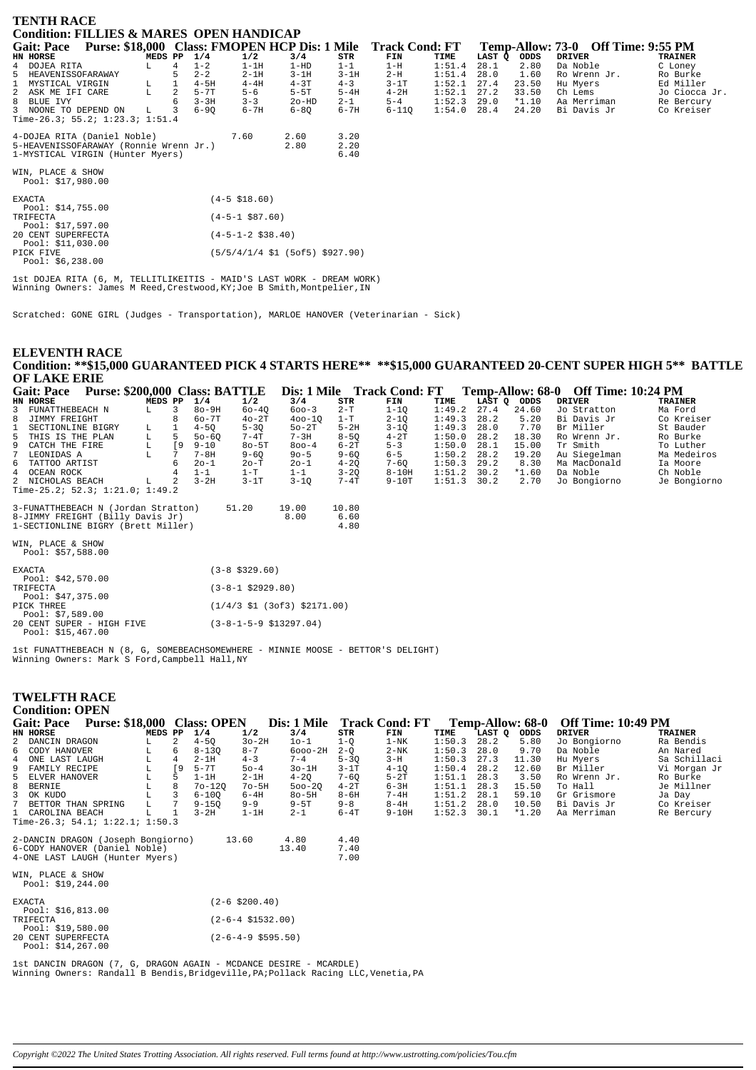| <b>TENTH RACE</b>                                                       |             |                   |          |                   |                                                                      |          |           |        |        |         |                                    |                |
|-------------------------------------------------------------------------|-------------|-------------------|----------|-------------------|----------------------------------------------------------------------|----------|-----------|--------|--------|---------|------------------------------------|----------------|
| <b>Condition: FILLIES &amp; MARES OPEN HANDICAP</b>                     |             |                   |          |                   |                                                                      |          |           |        |        |         |                                    |                |
| Gait: Pace Purse: \$18,000 Class: FMOPEN HCP Dis: 1 Mile Track Cond: FT |             |                   |          |                   |                                                                      |          |           |        |        |         | Temp-Allow: 73-0 Off Time: 9:55 PM |                |
| HN HORSE                                                                | MEDS PP     |                   | 1/4      | 1/2               | 3/4                                                                  | STR      | FIN       | TIME   | LAST O | ODDS    | <b>DRIVER</b>                      | <b>TRAINER</b> |
| 4 DOJEA RITA                                                            |             | 4                 | $1 - 2$  | $1-1H$            | $1-HD$                                                               | $1 - 1$  | $1-H$     | 1:51.4 | 28.1   | 2.80    | Da Noble                           | C Loney        |
| 5 HEAVENISSOFARAWAY                                                     |             |                   | $2 - 2$  | $2-1H$            | $3-1H$                                                               | $3-1H$   | $2-H$     | 1:51.4 | 28.0   | 1.60    | Ro Wrenn Jr.                       | Ro Burke       |
| 1 MYSTICAL VIRGIN                                                       | L           |                   | $4-5H$   | $4-4H$            | $4-3T$                                                               | $4 - 3$  | $3-1T$    | 1:52.1 | 27.4   | 23.50   | Hu Myers                           | Ed Miller      |
| 2 ASK ME IFI CARE                                                       | L           | 2                 | $5 - 7T$ | $5 - 6$           | $5-5T$                                                               | $5-4H$   | $4-2H$    | 1:52.1 | 27.2   | 33.50   | Ch Lems                            | Jo Ciocca Jr.  |
| 8 BLUE IVY                                                              |             | 6                 | $3 - 3H$ | $3 - 3$           | $2o-HD$                                                              | $2 - 1$  | $5 - 4$   | 1:52.3 | 29.0   | $*1.10$ | Aa Merriman                        | Re Bercury     |
| 3 NOONE TO DEPEND ON                                                    | $L$ and $L$ | 3                 | $6 - 90$ | $6 - 7H$          | $6 - 8Q$                                                             | $6 - 7H$ | $6 - 110$ | 1:54.0 | 28.4   | 24.20   | Bi Davis Jr                        | Co Kreiser     |
| Time-26.3; 55.2; $1:23.3;$ $1:51.4$                                     |             |                   |          |                   |                                                                      |          |           |        |        |         |                                    |                |
| 4-DOJEA RITA (Daniel Noble)                                             |             |                   |          | 7.60              | 2.60                                                                 | 3.20     |           |        |        |         |                                    |                |
| 5-HEAVENISSOFARAWAY (Ronnie Wrenn Jr.)                                  |             |                   |          |                   | 2.80                                                                 | 2.20     |           |        |        |         |                                    |                |
| 1-MYSTICAL VIRGIN (Hunter Myers)                                        |             |                   |          |                   |                                                                      | 6.40     |           |        |        |         |                                    |                |
| WIN, PLACE & SHOW<br>Pool: \$17,980.00                                  |             |                   |          |                   |                                                                      |          |           |        |        |         |                                    |                |
| <b>EXACTA</b><br>Pool: $$14,755.00$                                     |             |                   |          | $(4-5 \; $18.60)$ |                                                                      |          |           |        |        |         |                                    |                |
| TRIFECTA<br>Pool: \$17,597.00                                           |             | $(4-5-1$ \$87.60) |          |                   |                                                                      |          |           |        |        |         |                                    |                |
| 20 CENT SUPERFECTA<br>$(4-5-1-2$ \$38.40)<br>Pool: \$11,030.00          |             |                   |          |                   |                                                                      |          |           |        |        |         |                                    |                |
| PICK FIVE<br>Pool: \$6,238.00                                           |             |                   |          |                   | $(5/5/4/1/4 \text{ }51 \text{ } (5 \text{ of } 5) \text{ } $927.90)$ |          |           |        |        |         |                                    |                |
| 1st DOJEA RITA (6. M. TELLITLIKEITIS - MAID'S LAST WORK - DREAM WORK)   |             |                   |          |                   |                                                                      |          |           |        |        |         |                                    |                |

Winning Owners: James M Reed, Crestwood, KY; Joe B Smith, Montpelier, IN

Scratched: GONE GIRL (Judges - Transportation), MARLOE HANOVER (Veterinarian - Sick)

Gait: Pace Purse: \$200,000 Class: BATTLE Dis: 1 Mile Track Cond: FT

**ELEVENTH RACE** Condition: \*\* \$15,000 GUARANTEED PICK 4 STARTS HERE\*\* \*\* \$15,000 GUARANTEED 20-CENT SUPER HIGH 5\*\* BATTLE **OF LAKE ERIE** 

Temp-Allow: 68-0 Off Time: 10:24 PM

| HN                                              | <b>HORSE</b>                                                                                                                                            | MEDS PP |    | 1/4       | 1/2                                                                | 3/4           | STR                   | <b>FIN</b> | TIME   | LAST Q | ODDS    | <b>DRIVER</b> | <b>TRAINER</b> |  |  |
|-------------------------------------------------|---------------------------------------------------------------------------------------------------------------------------------------------------------|---------|----|-----------|--------------------------------------------------------------------|---------------|-----------------------|------------|--------|--------|---------|---------------|----------------|--|--|
| 3                                               | FUNATTHEBEACH N                                                                                                                                         | L.      | 3  | $8o-9H$   | $60 - 40$                                                          | $600 - 3$     | $2-T$                 | $1 - 10$   | 1:49.2 | 27.4   | 24.60   | Jo Stratton   | Ma Ford        |  |  |
| 8                                               | JIMMY FREIGHT                                                                                                                                           |         | 8  | $60 - 7T$ | $40-2T$                                                            | $400 - 10$    | $1-T$                 | $2 - 1Q$   | 1:49.3 | 28.2   | 5.20    | Bi Davis Jr   | Co Kreiser     |  |  |
|                                                 | SECTIONLINE BIGRY                                                                                                                                       | L       |    | $4 - 50$  | $5 - 30$                                                           | $50-2T$       | $5-2H$                | $3 - 1Q$   | 1:49.3 | 28.0   | 7.70    | Br Miller     | St Bauder      |  |  |
| 5                                               | THIS IS THE PLAN                                                                                                                                        | L       | 5  | $50 - 60$ | $7 - 4T$                                                           | $7 - 3H$      | $8 - 50$              | $4 - 2T$   | 1:50.0 | 28.2   | 18.30   | Ro Wrenn Jr.  | Ro Burke       |  |  |
| 9                                               | CATCH THE FIRE                                                                                                                                          | L       | [9 | $9 - 10$  | $80 - 5T$                                                          | $800 - 4$     | $6 - 2T$              | $5 - 3$    | 1:50.0 | 28.1   | 15.00   | Tr Smith      | To Luther      |  |  |
|                                                 | LEONIDAS A                                                                                                                                              | T.      |    | $7 - 8H$  | $9 - 6Q$                                                           | $90 - 5$      | $9 - 6Q$              | $6 - 5$    | 1:50.2 | 28.2   | 19.20   | Au Siegelman  | Ma Medeiros    |  |  |
| 6                                               | TATTOO ARTIST                                                                                                                                           |         | 6  | $20 - 1$  | $2o-T$                                                             | $20 - 1$      | $4 - 2Q$              | $7 - 60$   | 1:50.3 | 29.2   | 8.30    | Ma MacDonald  | Ia Moore       |  |  |
| 4                                               | OCEAN ROCK                                                                                                                                              |         | 4  | $1 - 1$   | $1-T$                                                              | $1 - 1$       | $3 - 2Q$              | $8-10H$    | 1:51.2 | 30.2   | $*1.60$ | Da Noble      | Ch Noble       |  |  |
| 2                                               | NICHOLAS BEACH                                                                                                                                          | L       | 2  | $3-2H$    | $3-1T$                                                             | $3 - 10$      | $7-4T$                | $9-10T$    | 1:51.3 | 30.2   | 2.70    | Jo Bongiorno  | Je Bongiorno   |  |  |
|                                                 | Time-25.2; 52.3; $1:21.0; 1:49.2$                                                                                                                       |         |    |           |                                                                    |               |                       |            |        |        |         |               |                |  |  |
|                                                 | 3-FUNATTHEBEACH N (Jordan Stratton)<br>8-JIMMY FREIGHT (Billy Davis Jr)<br>1-SECTIONLINE BIGRY (Brett Miller)<br>WIN, PLACE & SHOW<br>Pool: \$57,588.00 |         |    |           | 51.20                                                              | 19.00<br>8.00 | 10.80<br>6.60<br>4.80 |            |        |        |         |               |                |  |  |
|                                                 | <b>EXACTA</b>                                                                                                                                           |         |    |           | $(3-8 \; $329.60)$                                                 |               |                       |            |        |        |         |               |                |  |  |
|                                                 | Pool: $$42,570.00$<br>TRIFECTA<br>Pool: \$47,375.00                                                                                                     |         |    |           | $(3-8-1$ \$2929.80)                                                |               |                       |            |        |        |         |               |                |  |  |
|                                                 | PICK THREE<br>Pool: $$7,589.00$                                                                                                                         |         |    |           | $(1/4/3 \text{ } 51 \text{ } (3 \text{ of } 3) \text{ } $2171.00)$ |               |                       |            |        |        |         |               |                |  |  |
| 20 CENT SUPER - HIGH FIVE<br>Pool: $$15,467.00$ |                                                                                                                                                         |         |    |           | $(3-8-1-5-9 \; \text{S}13297.04)$                                  |               |                       |            |        |        |         |               |                |  |  |

lst FUNATTHEBEACH N (8, G, SOMEBEACHSOMEWHERE - MINNIE MOOSE - BETTOR'S DELIGHT)<br>Winning Owners: Mark S Ford,Campbell Hall,NY

### **TWELFTH RACE Condition: OPEN**

| Purse: \$18,000 Class: OPEN<br><b>Gait: Pace</b> |                                      |         |               |            | Dis: 1 Mile |            | <b>Track Cond: FT</b> | Temp-Allow: 68-0 |        |        | <b>Off Time: 10:49 PM</b> |               |                |  |
|--------------------------------------------------|--------------------------------------|---------|---------------|------------|-------------|------------|-----------------------|------------------|--------|--------|---------------------------|---------------|----------------|--|
|                                                  | HN HORSE                             | MEDS PP |               | 1/4        | 1/2         | 3/4        | STR                   | FIN              | TIME   | LAST O | ODDS                      | <b>DRIVER</b> | <b>TRAINER</b> |  |
|                                                  | 2 DANCIN DRAGON                      | L.      | $\mathcal{L}$ | $4 - 50$   | $3o-2H$     | $10-1$     | $1 - 0$               | $1-NK$           | 1:50.3 | 28.2   | 5.80                      | Jo Bongiorno  | Ra Bendis      |  |
|                                                  | 6 CODY HANOVER                       | L       | 6             | $8 - 130$  | $8 - 7$     | $6000-2H$  | $2 - 0$               | $2-NK$           | 1:50.3 | 28.0   | 9.70                      | Da Noble      | An Nared       |  |
|                                                  | 4 ONE LAST LAUGH                     | L       | 4             | $2-1H$     | $4 - 3$     | $7 - 4$    | $5 - 30$              | $3-H$            | 1:50.3 | 27.3   | 11.30                     | Hu Myers      | Sa Schillaci   |  |
| 9                                                | FAMILY RECIPE                        | L       | ſ9            | $5-7T$     | $50 - 4$    | $3o-1H$    | $3-1T$                | $4 - 10$         | 1:50.4 | 28.2   | 12.60                     | Br Miller     | Vi Morgan Jr   |  |
|                                                  | 5 ELVER HANOVER                      | L       |               | $1-1H$     | $2-1H$      | $4 - 20$   | $7 - 60$              | $5-2T$           | 1:51.1 | 28.3   | 3.50                      | Ro Wrenn Jr.  | Ro Burke       |  |
| 8                                                | BERNIE                               |         | 8             | $70 - 120$ | $7o-5H$     | $500 - 20$ | $4-2T$                | $6 - 3H$         | 1:51.1 | 28.3   | 15.50                     | To Hall       | Je Millner     |  |
|                                                  | 3 OK KUDO                            |         |               | $6 - 100$  | 6-4H        | $8o-5H$    | $8 - 6H$              | $7 - 4H$         | 1:51.2 | 28.1   | 59.10                     | Gr Grismore   | Ja Day         |  |
|                                                  | BETTOR THAN SPRING                   |         |               | $9 - 150$  | $9 - 9$     | $9-5T$     | $9 - 8$               | $8-4H$           | 1:51.2 | 28.0   | 10.50                     | Bi Davis Jr   | Co Kreiser     |  |
|                                                  | 1 CAROLINA BEACH                     |         |               | $3-2H$     | $1-1H$      | $2 - 1$    | $6-4T$                | $9 - 10H$        | 1:52.3 | 30.1   | $*1.20$                   | Aa Merriman   | Re Bercury     |  |
|                                                  | Time-26.3; 54.1; $1:22.1$ ; $1:50.3$ |         |               |            |             |            |                       |                  |        |        |                           |               |                |  |
|                                                  |                                      |         |               |            |             |            |                       |                  |        |        |                           |               |                |  |
|                                                  | 2-DANCIN DRAGON (Joseph Bongiorno)   |         |               |            | 13.60       | 4.80       | 4.40                  |                  |        |        |                           |               |                |  |
|                                                  | 6-CODY HANOVER (Daniel Noble)        |         |               |            |             | 13.40      | 7.40                  |                  |        |        |                           |               |                |  |
|                                                  | 4-ONE LAST LAUGH (Hunter Myers)      |         |               |            |             |            | 7.00                  |                  |        |        |                           |               |                |  |
|                                                  |                                      |         |               |            |             |            |                       |                  |        |        |                           |               |                |  |
|                                                  | WIN, PLACE & SHOW                    |         |               |            |             |            |                       |                  |        |        |                           |               |                |  |
|                                                  | Pool: $$19,244.00$                   |         |               |            |             |            |                       |                  |        |        |                           |               |                |  |
|                                                  |                                      |         |               |            |             |            |                       |                  |        |        |                           |               |                |  |
|                                                  |                                      |         |               |            |             |            |                       |                  |        |        |                           |               |                |  |

| <b>EXACTA</b>          | $(2 - 6 \text{ } $200.40)$  |
|------------------------|-----------------------------|
| Pool: \$16,813.00      |                             |
| TRIFECTA               | $(2-6-4 \text{ } $1532.00)$ |
| Pool: $$19.580.00$     |                             |
| 20 CENT SUPERFECTA     | $(2-6-4-9$ \$595.50)        |
| $P_{00}$ : \$14.267.00 |                             |

lst DANCIN DRAGON (7, G, DRAGON AGAIN - MCDANCE DESIRE - MCARDLE)<br>Winning Owners: Randall B Bendis,Bridgeville,PA;Pollack Racing LLC,Venetia,PA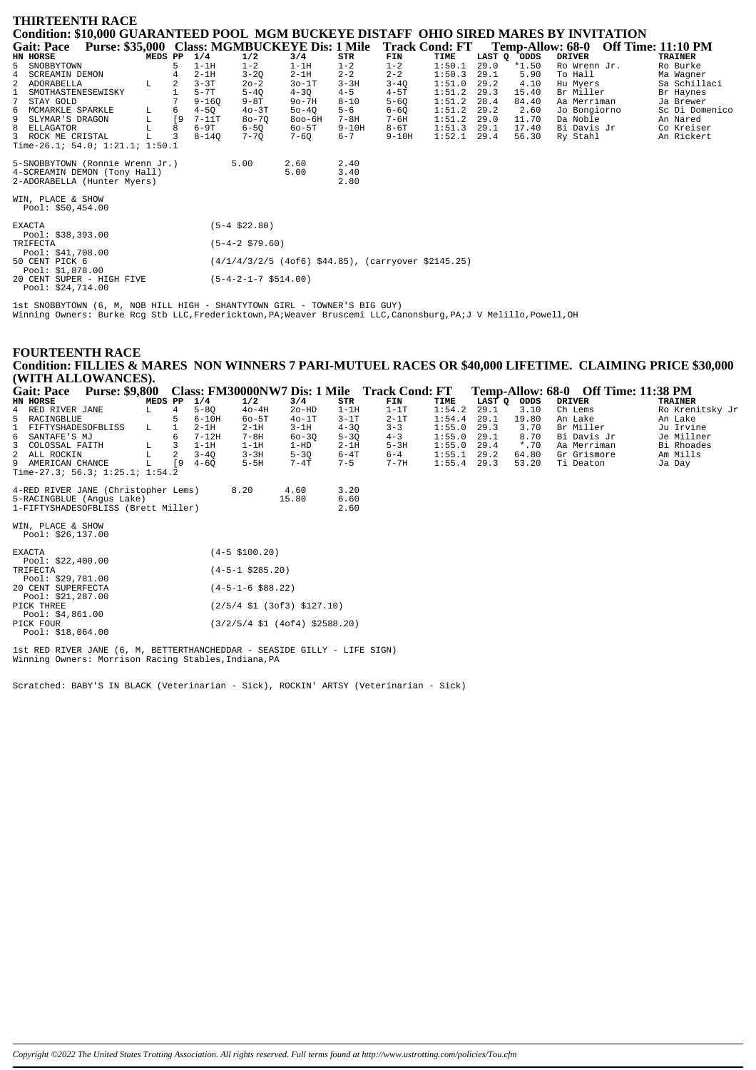| <b>THIRTEENTH RACE</b>                                                                        |         |    |           |                            |                                                       |           |          |                       |      |             |                                     |                |
|-----------------------------------------------------------------------------------------------|---------|----|-----------|----------------------------|-------------------------------------------------------|-----------|----------|-----------------------|------|-------------|-------------------------------------|----------------|
| <b>Condition: \$10,000 GUARANTEED POOL MGM BUCKEYE DISTAFF OHIO SIRED MARES BY INVITATION</b> |         |    |           |                            |                                                       |           |          |                       |      |             |                                     |                |
| Purse: \$35,000 Class: MGMBUCKEYE Dis: 1 Mile<br><b>Gait: Pace</b>                            |         |    |           |                            |                                                       |           |          | <b>Track Cond: FT</b> |      |             | Temp-Allow: 68-0 Off Time: 11:10 PM |                |
| HN HORSE                                                                                      | MEDS PP |    | 1/4       | 1/2                        | 3/4                                                   | STR       | FIN      | TIME                  |      | LAST Q ODDS | <b>DRIVER</b>                       | <b>TRAINER</b> |
| 5<br>SNOBBYTOWN                                                                               |         |    | $1-1H$    | $1 - 2$                    | $1-1H$                                                | $1 - 2$   | $1 - 2$  | 1:50.1                | 29.0 | $*1.50$     | Ro Wrenn Jr.                        | Ro Burke       |
| SCREAMIN DEMON                                                                                |         |    | $2-1H$    | $3 - 2Q$                   | $2-1H$                                                | $2 - 2$   | $2 - 2$  | 1:50.3                | 29.1 | 5.90        | To Hall                             | Ma Waqner      |
| 2<br>ADORABELLA                                                                               | L.      | 2  | $3 - 3T$  | $20 - 2$                   | $30-1T$                                               | $3 - 3H$  | $3 - 40$ | 1:51.0                | 29.2 | 4.10        | Hu Myers                            | Sa Schillaci   |
| SMOTHASTENESEWISKY                                                                            |         |    | $5 - 7T$  | $5 - 40$                   | $4 - 30$                                              | $4 - 5$   | $4-5T$   | 1:51.2                | 29.3 | 15.40       | Br Miller                           | Br Haynes      |
| 7<br>STAY GOLD                                                                                |         |    | $9 - 160$ | $9 - 8T$                   | $9o-7H$                                               | $8 - 10$  | $5 - 60$ | 1:51.2                | 28.4 | 84.40       | Aa Merriman                         | Ja Brewer      |
| 6<br>MCMARKLE SPARKLE                                                                         | L       | 6  | $4 - 5Q$  | $40-3T$                    | $50 - 40$                                             | $5 - 6$   | $6 - 6Q$ | 1:51.2                | 29.2 | 2.60        | Jo Bongiorno                        | Sc Di Domenico |
| 9<br>SLYMAR'S DRAGON                                                                          | L       | [9 | $7-11T$   | $80 - 70$                  | $800 - 6H$                                            | $7 - 8H$  | $7 - 6H$ | 1:51.2                | 29.0 | 11.70       | Da Noble                            | An Nared       |
| ELLAGATOR<br>8                                                                                |         |    | $6-9T$    | $6 - 50$                   | $60 - 5T$                                             | $9 - 10H$ | $8-6T$   | 1:51.3                | 29.1 | 17.40       | Bi Davis Jr                         | Co Kreiser     |
| 3 ROCK ME CRISTAL                                                                             |         |    | $8 - 140$ | $7 - 70$                   | $7 - 60$                                              | $6 - 7$   | $9-10H$  | 1:52.1                | 29.4 | 56.30       | Ry Stahl                            | An Rickert     |
| Time-26.1; 54.0; 1:21.1; 1:50.1                                                               |         |    |           |                            |                                                       |           |          |                       |      |             |                                     |                |
| 5-SNOBBYTOWN (Ronnie Wrenn Jr.)                                                               |         |    |           | 5.00                       | 2.60                                                  | 2.40      |          |                       |      |             |                                     |                |
| 4-SCREAMIN DEMON (Tony Hall)                                                                  |         |    |           |                            | 5.00                                                  | 3.40      |          |                       |      |             |                                     |                |
| 2-ADORABELLA (Hunter Myers)                                                                   |         |    |           |                            |                                                       | 2.80      |          |                       |      |             |                                     |                |
|                                                                                               |         |    |           |                            |                                                       |           |          |                       |      |             |                                     |                |
| WIN, PLACE & SHOW                                                                             |         |    |           |                            |                                                       |           |          |                       |      |             |                                     |                |
| Pool: $$50,454.00$                                                                            |         |    |           |                            |                                                       |           |          |                       |      |             |                                     |                |
| <b>EXACTA</b>                                                                                 |         |    |           | $(5-4 \ $22.80)$           |                                                       |           |          |                       |      |             |                                     |                |
| Pool: $$38,393.00$                                                                            |         |    |           |                            |                                                       |           |          |                       |      |             |                                     |                |
| TRIFECTA                                                                                      |         |    |           | $(5 - 4 - 2 \quad 579.60)$ |                                                       |           |          |                       |      |             |                                     |                |
| Pool: $$41,708.00$                                                                            |         |    |           |                            |                                                       |           |          |                       |      |             |                                     |                |
| 50 CENT PICK 6                                                                                |         |    |           |                            | $(4/1/4/3/2/5$ (4of6) \$44.85), (carryover \$2145.25) |           |          |                       |      |             |                                     |                |
| Pool: \$1,878.00                                                                              |         |    |           |                            |                                                       |           |          |                       |      |             |                                     |                |
| 20 CENT SUPER - HIGH FIVE                                                                     |         |    |           | $(5-4-2-1-7$ \$514.00)     |                                                       |           |          |                       |      |             |                                     |                |
| Pool: \$24 714 00                                                                             |         |    |           |                            |                                                       |           |          |                       |      |             |                                     |                |

lst SNOBBYTOWN (6, M, NOB HILL HIGH - SHANTYTOWN GIRL - TOWNER'S BIG GUY)<br>Winning Owners: Burke Rcg Stb LLC,Fredericktown,PA;Weaver Bruscemi LLC,Canonsburg,PA;J V Melillo,Powell,OH

| <b>FOURTEENTH RACE</b>                                                                                                           |                       |         |                        |                                                                      |           |                     |                                              |                                |             |                |                                     |                 |
|----------------------------------------------------------------------------------------------------------------------------------|-----------------------|---------|------------------------|----------------------------------------------------------------------|-----------|---------------------|----------------------------------------------|--------------------------------|-------------|----------------|-------------------------------------|-----------------|
| Condition: FILLIES & MARES NON WINNERS 7 PARI-MUTUEL RACES OR \$40,000 LIFETIME. CLAIMING PRICE \$30,000                         |                       |         |                        |                                                                      |           |                     |                                              |                                |             |                |                                     |                 |
| (WITH ALLOWANCES).                                                                                                               |                       |         |                        |                                                                      |           |                     |                                              |                                |             |                |                                     |                 |
| <b>Gait: Pace</b>                                                                                                                | <b>Purse: \$9,800</b> |         |                        |                                                                      |           |                     | Class: FM30000NW7 Dis: 1 Mile Track Cond: FT |                                |             |                | Temp-Allow: 68-0 Off Time: 11:38 PM |                 |
| HN HORSE                                                                                                                         |                       | MEDS PP | 1/4                    | 1/2                                                                  | 3/4       | STR                 | FIN                                          | TIME                           | LAST Q ODDS |                | <b>DRIVER</b>                       | <b>TRAINER</b>  |
| RED RIVER JANE                                                                                                                   | L                     | 4       | $5 - 80$               | $40-4H$                                                              | $2o-HD$   | $1-1H$              | $1-1T$                                       | 1:54.2                         | 29.1        | 3.10           | Ch Lems                             | Ro Krenitsky Jr |
| RACINGBLUE<br>5                                                                                                                  |                       | 5       | $6-10H$                | $60 - 5T$                                                            | $40-1T$   | $3 - 1T$            | $2 - 1T$                                     | 1:54.4                         | 29.1        | 19.80          | An Lake                             | An Lake         |
| FIFTYSHADESOFBLISS                                                                                                               | L                     | 1       | $2-1H$                 | $2-1H$                                                               | $3-1H$    | $4 - 30$            | $3 - 3$                                      | 1:55.0                         | 29.3        | 3.70           | Br Miller                           | Ju Irvine       |
| SANTAFE'S MJ<br>6                                                                                                                |                       |         | $7 - 12H$              | $7 - 8H$                                                             | $60 - 30$ | $5 - 3Q$            | $4 - 3$                                      | 1:55.0                         | 29.1        | 8.70           | Bi Davis Jr                         | Je Millner      |
| COLOSSAL FAITH                                                                                                                   | L                     | 3       | $1-1H$                 | $1-1H$                                                               | $1 - HD$  | $2-1H$              | $5-3H$                                       | 1:55.0                         | 29.4        | $*$ .70        | Aa Merriman                         | Bi Rhoades      |
| 2<br>ALL ROCKIN<br>9 AMERICAN CHANCE                                                                                             | L<br>T.               | 2       | $3 - 40$<br>$\sqrt{9}$ | $3 - 3H$<br>$5-5H$                                                   | $5 - 30$  | $6 - 4T$<br>$7 - 5$ | $6 - 4$<br>$7 - 7H$                          | $1:55.1$ 29.2<br>$1:55.4$ 29.3 |             | 64.80<br>53.20 | Gr Grismore<br>Ti Deaton            | Am Mills        |
| Time-27.3; $56.3; 1:25.1; 1:54.2$                                                                                                |                       |         | $4 - 60$               |                                                                      | $7-4T$    |                     |                                              |                                |             |                |                                     | Ja Day          |
|                                                                                                                                  |                       |         |                        |                                                                      |           |                     |                                              |                                |             |                |                                     |                 |
| 4-RED RIVER JANE (Christopher Lems)                                                                                              |                       |         |                        | 8.20                                                                 | 4.60      | 3.20                |                                              |                                |             |                |                                     |                 |
| 5-RACINGBLUE (Angus Lake)                                                                                                        |                       |         |                        |                                                                      | 15.80     | 6.60                |                                              |                                |             |                |                                     |                 |
| 1-FIFTYSHADESOFBLISS (Brett Miller)                                                                                              |                       |         |                        |                                                                      |           | 2.60                |                                              |                                |             |                |                                     |                 |
| WIN, PLACE & SHOW<br>Pool: \$26,137.00                                                                                           |                       |         |                        |                                                                      |           |                     |                                              |                                |             |                |                                     |                 |
| <b>EXACTA</b>                                                                                                                    |                       |         |                        | $(4-5 \t5100.20)$                                                    |           |                     |                                              |                                |             |                |                                     |                 |
| Pool: $$22,400.00$                                                                                                               |                       |         |                        |                                                                      |           |                     |                                              |                                |             |                |                                     |                 |
| TRIFECTA                                                                                                                         |                       |         |                        | $(4-5-1$ \$285.20)                                                   |           |                     |                                              |                                |             |                |                                     |                 |
| Pool: \$29,781.00<br>20 CENT SUPERFECTA                                                                                          |                       |         |                        | $(4-5-1-6$ \$88.22)                                                  |           |                     |                                              |                                |             |                |                                     |                 |
| Pool: \$21,287.00                                                                                                                |                       |         |                        |                                                                      |           |                     |                                              |                                |             |                |                                     |                 |
| PICK THREE                                                                                                                       |                       |         |                        | $(2/5/4 \text{ } $1 \text{ } (3of3) \text{ } $127.10)$               |           |                     |                                              |                                |             |                |                                     |                 |
| Pool: $$4,861.00$                                                                                                                |                       |         |                        |                                                                      |           |                     |                                              |                                |             |                |                                     |                 |
| PICK FOUR                                                                                                                        |                       |         |                        | $(3/2/5/4 \text{ } $1 \text{ } (4 \text{ of } 4) \text{ } $2588.20)$ |           |                     |                                              |                                |             |                |                                     |                 |
| Pool: \$18,064.00                                                                                                                |                       |         |                        |                                                                      |           |                     |                                              |                                |             |                |                                     |                 |
| 1st RED RIVER JANE (6, M, BETTERTHANCHEDDAR - SEASIDE GILLY - LIFE SIGN)<br>Winning Owners: Morrison Racing Stables, Indiana, PA |                       |         |                        |                                                                      |           |                     |                                              |                                |             |                |                                     |                 |

Scratched: BABY'S IN BLACK (Veterinarian - Sick), ROCKIN' ARTSY (Veterinarian - Sick)